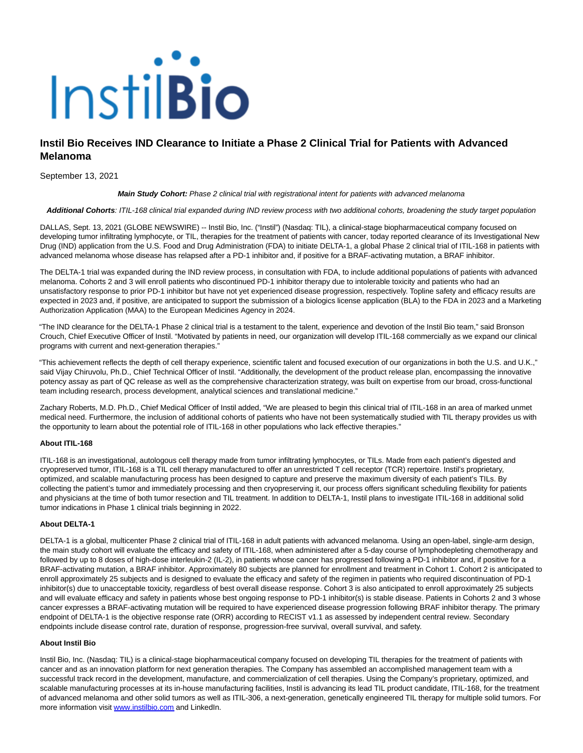# Instil**Bio**

# **Instil Bio Receives IND Clearance to Initiate a Phase 2 Clinical Trial for Patients with Advanced Melanoma**

September 13, 2021

### **Main Study Cohort:** Phase 2 clinical trial with registrational intent for patients with advanced melanoma

**Additional Cohorts**: ITIL-168 clinical trial expanded during IND review process with two additional cohorts, broadening the study target population

DALLAS, Sept. 13, 2021 (GLOBE NEWSWIRE) -- Instil Bio, Inc. ("Instil") (Nasdaq: TIL), a clinical-stage biopharmaceutical company focused on developing tumor infiltrating lymphocyte, or TIL, therapies for the treatment of patients with cancer, today reported clearance of its Investigational New Drug (IND) application from the U.S. Food and Drug Administration (FDA) to initiate DELTA-1, a global Phase 2 clinical trial of ITIL-168 in patients with advanced melanoma whose disease has relapsed after a PD-1 inhibitor and, if positive for a BRAF-activating mutation, a BRAF inhibitor.

The DELTA-1 trial was expanded during the IND review process, in consultation with FDA, to include additional populations of patients with advanced melanoma. Cohorts 2 and 3 will enroll patients who discontinued PD-1 inhibitor therapy due to intolerable toxicity and patients who had an unsatisfactory response to prior PD-1 inhibitor but have not yet experienced disease progression, respectively. Topline safety and efficacy results are expected in 2023 and, if positive, are anticipated to support the submission of a biologics license application (BLA) to the FDA in 2023 and a Marketing Authorization Application (MAA) to the European Medicines Agency in 2024.

"The IND clearance for the DELTA-1 Phase 2 clinical trial is a testament to the talent, experience and devotion of the Instil Bio team," said Bronson Crouch, Chief Executive Officer of Instil. "Motivated by patients in need, our organization will develop ITIL-168 commercially as we expand our clinical programs with current and next-generation therapies."

"This achievement reflects the depth of cell therapy experience, scientific talent and focused execution of our organizations in both the U.S. and U.K.," said Vijay Chiruvolu, Ph.D., Chief Technical Officer of Instil. "Additionally, the development of the product release plan, encompassing the innovative potency assay as part of QC release as well as the comprehensive characterization strategy, was built on expertise from our broad, cross-functional team including research, process development, analytical sciences and translational medicine."

Zachary Roberts, M.D. Ph.D., Chief Medical Officer of Instil added, "We are pleased to begin this clinical trial of ITIL-168 in an area of marked unmet medical need. Furthermore, the inclusion of additional cohorts of patients who have not been systematically studied with TIL therapy provides us with the opportunity to learn about the potential role of ITIL-168 in other populations who lack effective therapies."

## **About ITIL-168**

ITIL-168 is an investigational, autologous cell therapy made from tumor infiltrating lymphocytes, or TILs. Made from each patient's digested and cryopreserved tumor, ITIL-168 is a TIL cell therapy manufactured to offer an unrestricted T cell receptor (TCR) repertoire. Instil's proprietary, optimized, and scalable manufacturing process has been designed to capture and preserve the maximum diversity of each patient's TILs. By collecting the patient's tumor and immediately processing and then cryopreserving it, our process offers significant scheduling flexibility for patients and physicians at the time of both tumor resection and TIL treatment. In addition to DELTA-1, Instil plans to investigate ITIL-168 in additional solid tumor indications in Phase 1 clinical trials beginning in 2022.

### **About DELTA-1**

DELTA-1 is a global, multicenter Phase 2 clinical trial of ITIL-168 in adult patients with advanced melanoma. Using an open-label, single-arm design, the main study cohort will evaluate the efficacy and safety of ITIL-168, when administered after a 5-day course of lymphodepleting chemotherapy and followed by up to 8 doses of high-dose interleukin-2 (IL-2), in patients whose cancer has progressed following a PD-1 inhibitor and, if positive for a BRAF-activating mutation, a BRAF inhibitor. Approximately 80 subjects are planned for enrollment and treatment in Cohort 1. Cohort 2 is anticipated to enroll approximately 25 subjects and is designed to evaluate the efficacy and safety of the regimen in patients who required discontinuation of PD-1 inhibitor(s) due to unacceptable toxicity, regardless of best overall disease response. Cohort 3 is also anticipated to enroll approximately 25 subjects and will evaluate efficacy and safety in patients whose best ongoing response to PD-1 inhibitor(s) is stable disease. Patients in Cohorts 2 and 3 whose cancer expresses a BRAF-activating mutation will be required to have experienced disease progression following BRAF inhibitor therapy. The primary endpoint of DELTA-1 is the objective response rate (ORR) according to RECIST v1.1 as assessed by independent central review. Secondary endpoints include disease control rate, duration of response, progression-free survival, overall survival, and safety.

# **About Instil Bio**

Instil Bio, Inc. (Nasdaq: TIL) is a clinical-stage biopharmaceutical company focused on developing TIL therapies for the treatment of patients with cancer and as an innovation platform for next generation therapies. The Company has assembled an accomplished management team with a successful track record in the development, manufacture, and commercialization of cell therapies. Using the Company's proprietary, optimized, and scalable manufacturing processes at its in-house manufacturing facilities, Instil is advancing its lead TIL product candidate, ITIL-168, for the treatment of advanced melanoma and other solid tumors as well as ITIL-306, a next-generation, genetically engineered TIL therapy for multiple solid tumors. For more information visit [www.instilbio.com a](https://www.globenewswire.com/Tracker?data=-cQYShKGEaVJTxGJBWHhpZ5rlmKq1W8u_30AaiF4xTUJDbOG45hegUX9Z7X1_EOavretkq3Fjp6oGofob8MqBw==)nd LinkedIn.